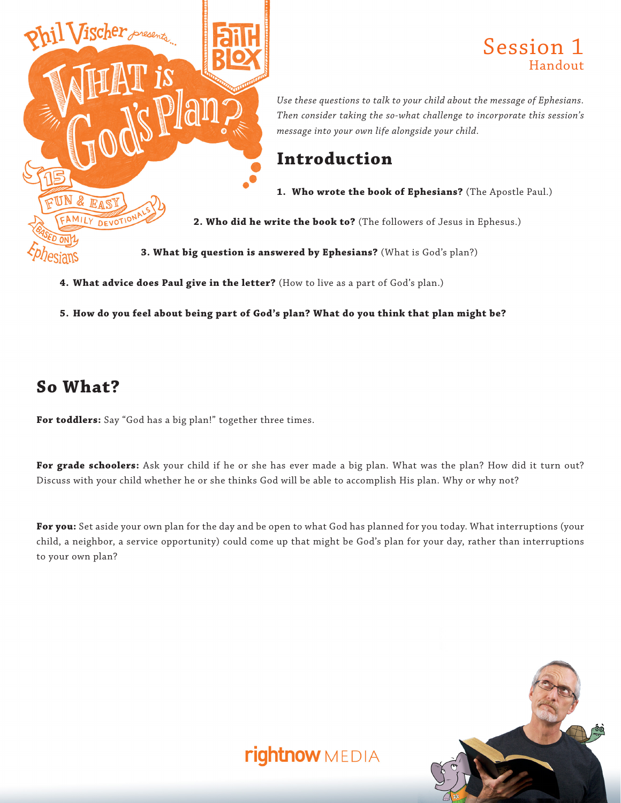

#### Session 1 Handout

*Use these questions to talk to your child about the message of Ephesians. Then consider taking the so-what challenge to incorporate this session's message into your own life alongside your child.*

## **Introduction**

**1. Who wrote the book of Ephesians?** (The Apostle Paul.)

**2. Who did he write the book to?** (The followers of Jesus in Ephesus.)

**3. What big question is answered by Ephesians?** (What is God's plan?)

- **4. What advice does Paul give in the letter?** (How to live as a part of God's plan.)
- **5. How do you feel about being part of God's plan? What do you think that plan might be?**

## **So What?**

**For toddlers:** Say "God has a big plan!" together three times.

**For grade schoolers:** Ask your child if he or she has ever made a big plan. What was the plan? How did it turn out? Discuss with your child whether he or she thinks God will be able to accomplish His plan. Why or why not?

**For you:** Set aside your own plan for the day and be open to what God has planned for you today. What interruptions (your child, a neighbor, a service opportunity) could come up that might be God's plan for your day, rather than interruptions to your own plan?

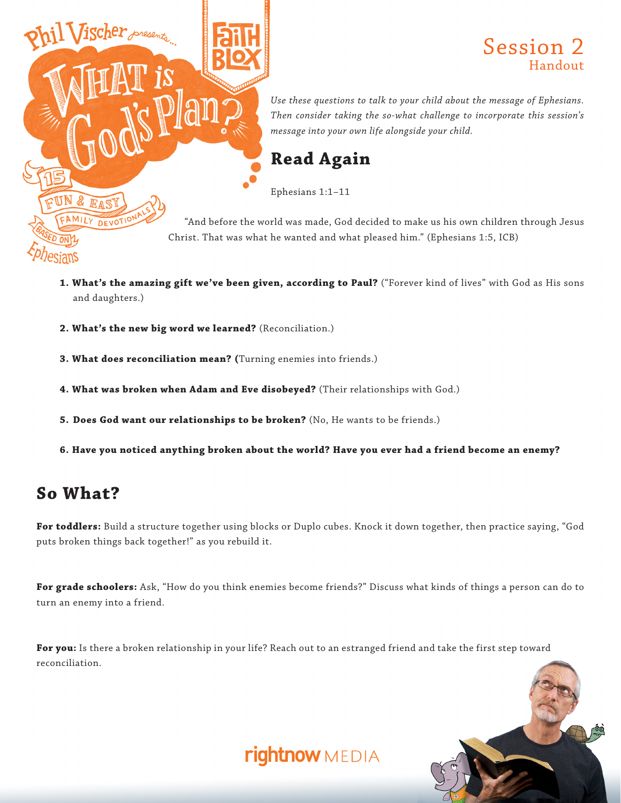

#### Session 2 Handout

*Use these questions to talk to your child about the message of Ephesians. Then consider taking the so-what challenge to incorporate this session's message into your own life alongside your child.*

# **Read Again**

Ephesians 1:1–11

"And before the world was made, God decided to make us his own children through Jesus Christ. That was what he wanted and what pleased him." (Ephesians 1:5, ICB)

- **1. What's the amazing gift we've been given, according to Paul?** ("Forever kind of lives" with God as His sons and daughters.)
- **2. What's the new big word we learned?** (Reconciliation.)
- **3. What does reconciliation mean? (**Turning enemies into friends.)
- **4. What was broken when Adam and Eve disobeyed?** (Their relationships with God.)
- **5. Does God want our relationships to be broken?** (No, He wants to be friends.)
- **6. Have you noticed anything broken about the world? Have you ever had a friend become an enemy?**

# **So What?**

**For toddlers:** Build a structure together using blocks or Duplo cubes. Knock it down together, then practice saying, "God puts broken things back together!" as you rebuild it.

**For grade schoolers:** Ask, "How do you think enemies become friends?" Discuss what kinds of things a person can do to turn an enemy into a friend.

**For you:** Is there a broken relationship in your life? Reach out to an estranged friend and take the first step toward reconciliation.

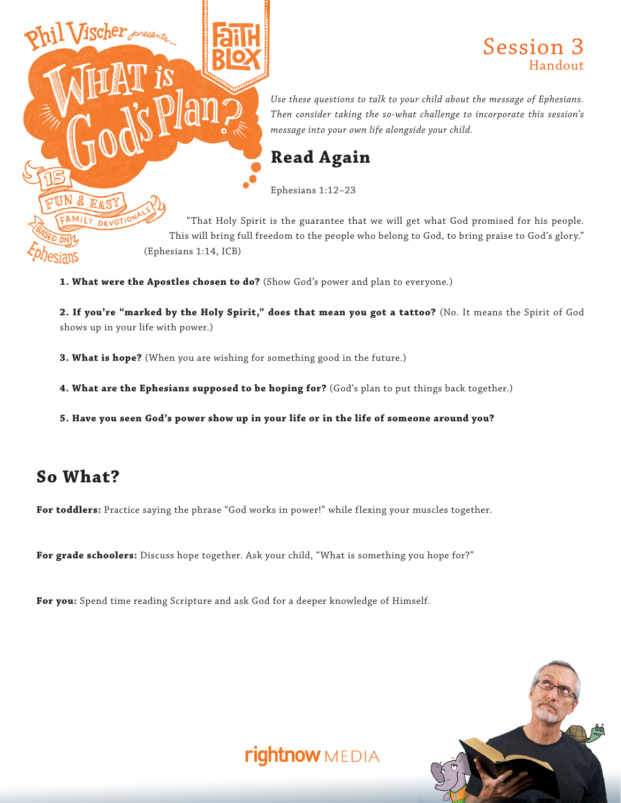

#### Session 3 Handout

*Use these questions to talk to your child about the message of Ephesians. Then consider taking the so-what challenge to incorporate this session's message into your own life alongside your child.*

## **Read Again**

Ephesians 1:12–23

"That Holy Spirit is the guarantee that we will get what God promised for his people. This will bring full freedom to the people who belong to God, to bring praise to God's glory."

**1. What were the Apostles chosen to do?** (Show God's power and plan to everyone.)

**2. If you're "marked by the Holy Spirit," does that mean you got a tattoo?** (No. It means the Spirit of God shows up in your life with power.)

**3. What is hope?** (When you are wishing for something good in the future.)

**4. What are the Ephesians supposed to be hoping for?** (God's plan to put things back together.)

**5. Have you seen God's power show up in your life or in the life of someone around you?**

# **So What?**

**For toddlers:** Practice saying the phrase "God works in power!" while flexing your muscles together.

**For grade schoolers:** Discuss hope together. Ask your child, "What is something you hope for?"

**For you:** Spend time reading Scripture and ask God for a deeper knowledge of Himself.

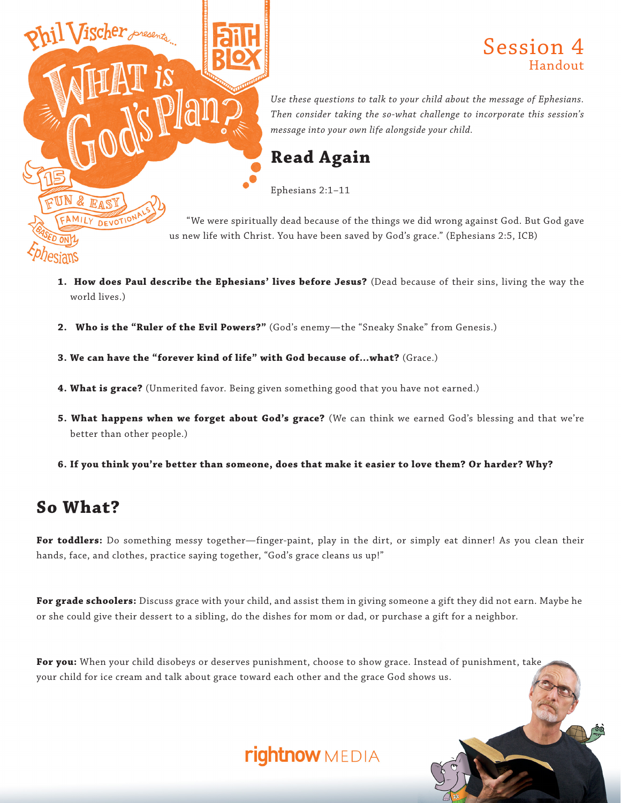

#### Session 4 Handout

*Use these questions to talk to your child about the message of Ephesians. Then consider taking the so-what challenge to incorporate this session's message into your own life alongside your child.*

### **Read Again**

Ephesians 2:1–11

"We were spiritually dead because of the things we did wrong against God. But God gave us new life with Christ. You have been saved by God's grace." (Ephesians 2:5, ICB)

- **1. How does Paul describe the Ephesians' lives before Jesus?** (Dead because of their sins, living the way the world lives.)
- **2. Who is the "Ruler of the Evil Powers?"** (God's enemy—the "Sneaky Snake" from Genesis.)

**3. We can have the "forever kind of life" with God because of…what?** (Grace.)

- **4. What is grace?** (Unmerited favor. Being given something good that you have not earned.)
- **5. What happens when we forget about God's grace?** (We can think we earned God's blessing and that we're better than other people.)
- **6. If you think you're better than someone, does that make it easier to love them? Or harder? Why?**

# **So What?**

**For toddlers:** Do something messy together—finger-paint, play in the dirt, or simply eat dinner! As you clean their hands, face, and clothes, practice saying together, "God's grace cleans us up!"

**For grade schoolers:** Discuss grace with your child, and assist them in giving someone a gift they did not earn. Maybe he or she could give their dessert to a sibling, do the dishes for mom or dad, or purchase a gift for a neighbor.

**For you:** When your child disobeys or deserves punishment, choose to show grace. Instead of punishment, take your child for ice cream and talk about grace toward each other and the grace God shows us.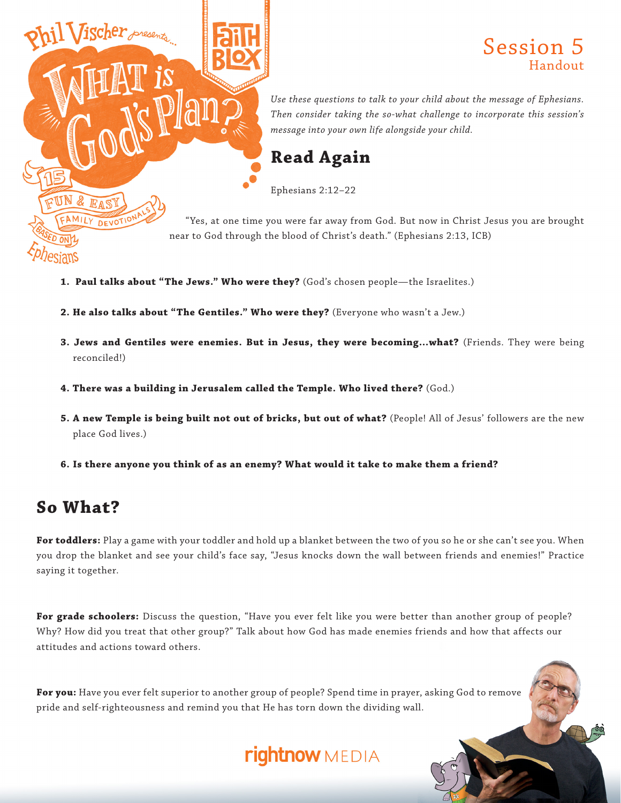

#### Session 5 Handout

*Use these questions to talk to your child about the message of Ephesians. Then consider taking the so-what challenge to incorporate this session's message into your own life alongside your child.*

## **Read Again**

Ephesians 2:12–22

"Yes, at one time you were far away from God. But now in Christ Jesus you are brought near to God through the blood of Christ's death." (Ephesians 2:13, ICB)

- **1. Paul talks about "The Jews." Who were they?** (God's chosen people—the Israelites.)
- **2. He also talks about "The Gentiles." Who were they?** (Everyone who wasn't a Jew.)
- **3. Jews and Gentiles were enemies. But in Jesus, they were becoming…what?** (Friends. They were being reconciled!)
- **4. There was a building in Jerusalem called the Temple. Who lived there?** (God.)
- **5. A new Temple is being built not out of bricks, but out of what?** (People! All of Jesus' followers are the new place God lives.)
- **6. Is there anyone you think of as an enemy? What would it take to make them a friend?**

## **So What?**

**For toddlers:** Play a game with your toddler and hold up a blanket between the two of you so he or she can't see you. When you drop the blanket and see your child's face say, "Jesus knocks down the wall between friends and enemies!" Practice saying it together.

**For grade schoolers:** Discuss the question, "Have you ever felt like you were better than another group of people? Why? How did you treat that other group?" Talk about how God has made enemies friends and how that affects our attitudes and actions toward others.

For you: Have you ever felt superior to another group of people? Spend time in prayer, asking God to remove pride and self-righteousness and remind you that He has torn down the dividing wall.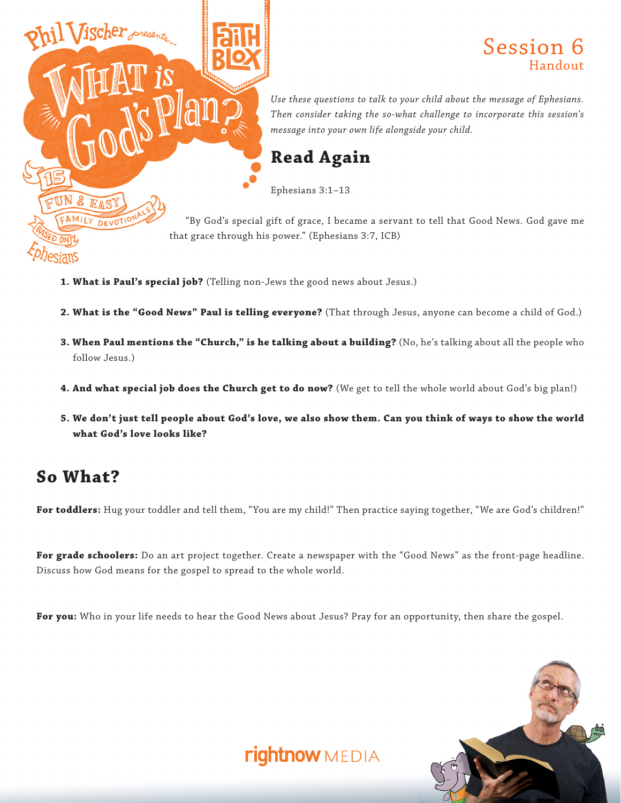

#### Session 6 Handout

*Use these questions to talk to your child about the message of Ephesians. Then consider taking the so-what challenge to incorporate this session's message into your own life alongside your child.*

### **Read Again**

Ephesians 3:1–13

"By God's special gift of grace, I became a servant to tell that Good News. God gave me that grace through his power." (Ephesians 3:7, ICB)

- **1. What is Paul's special job?** (Telling non-Jews the good news about Jesus.)
- **2. What is the "Good News" Paul is telling everyone?** (That through Jesus, anyone can become a child of God.)
- **3. When Paul mentions the "Church," is he talking about a building?** (No, he's talking about all the people who follow Jesus.)
- **4. And what special job does the Church get to do now?** (We get to tell the whole world about God's big plan!)
- **5. We don't just tell people about God's love, we also show them. Can you think of ways to show the world what God's love looks like?**

### **So What?**

**For toddlers:** Hug your toddler and tell them, "You are my child!" Then practice saying together, "We are God's children!"

**For grade schoolers:** Do an art project together. Create a newspaper with the "Good News" as the front-page headline. Discuss how God means for the gospel to spread to the whole world.

**For you:** Who in your life needs to hear the Good News about Jesus? Pray for an opportunity, then share the gospel.

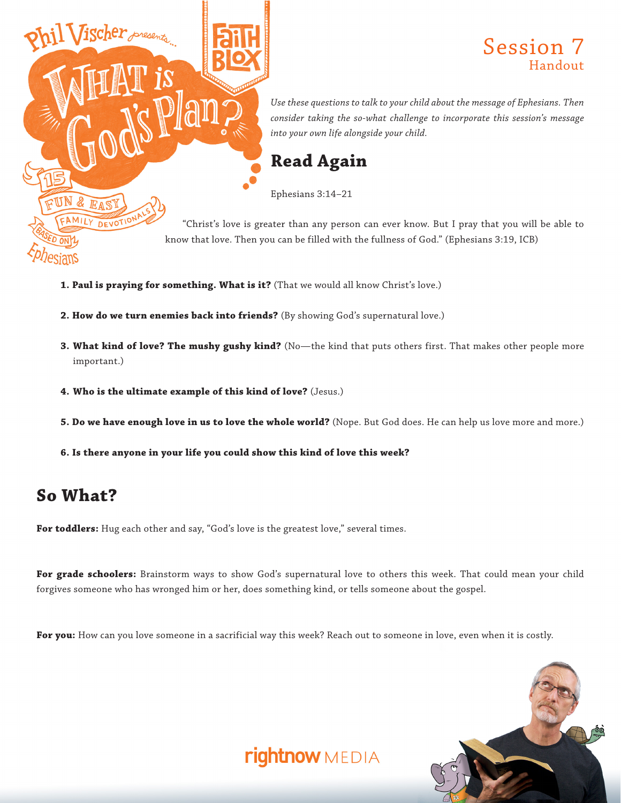

#### Session 7 Handout

*Use these questions to talk to your child about the message of Ephesians. Then consider taking the so-what challenge to incorporate this session's message into your own life alongside your child.*

## **Read Again**

Ephesians 3:14–21

"Christ's love is greater than any person can ever know. But I pray that you will be able to know that love. Then you can be filled with the fullness of God." (Ephesians 3:19, ICB)

- **1. Paul is praying for something. What is it?** (That we would all know Christ's love.)
- **2. How do we turn enemies back into friends?** (By showing God's supernatural love.)
- **3. What kind of love? The mushy gushy kind?** (No—the kind that puts others first. That makes other people more important.)
- **4. Who is the ultimate example of this kind of love?** (Jesus.)
- **5. Do we have enough love in us to love the whole world?** (Nope. But God does. He can help us love more and more.)
- **6. Is there anyone in your life you could show this kind of love this week?**

## **So What?**

For toddlers: Hug each other and say, "God's love is the greatest love," several times.

**For grade schoolers:** Brainstorm ways to show God's supernatural love to others this week. That could mean your child forgives someone who has wronged him or her, does something kind, or tells someone about the gospel.

**For you:** How can you love someone in a sacrificial way this week? Reach out to someone in love, even when it is costly.

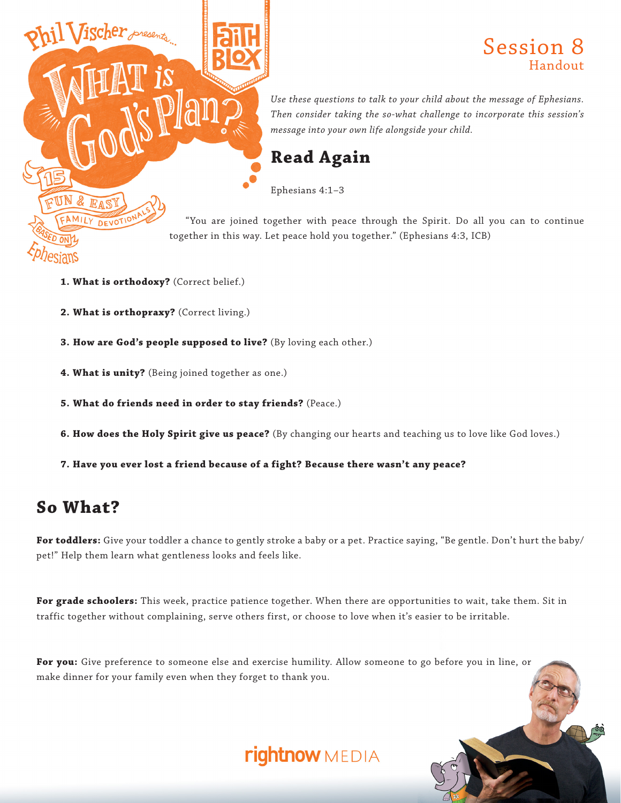

#### Session 8 Handout

*Use these questions to talk to your child about the message of Ephesians. Then consider taking the so-what challenge to incorporate this session's message into your own life alongside your child.*

## **Read Again**

Ephesians 4:1–3

"You are joined together with peace through the Spirit. Do all you can to continue together in this way. Let peace hold you together." (Ephesians 4:3, ICB)

- **1. What is orthodoxy?** (Correct belief.)
- **2. What is orthopraxy?** (Correct living.)
- **3. How are God's people supposed to live?** (By loving each other.)
- **4. What is unity?** (Being joined together as one.)
- **5. What do friends need in order to stay friends?** (Peace.)
- **6. How does the Holy Spirit give us peace?** (By changing our hearts and teaching us to love like God loves.)
- **7. Have you ever lost a friend because of a fight? Because there wasn't any peace?**

### **So What?**

**For toddlers:** Give your toddler a chance to gently stroke a baby or a pet. Practice saying, "Be gentle. Don't hurt the baby/ pet!" Help them learn what gentleness looks and feels like.

**For grade schoolers:** This week, practice patience together. When there are opportunities to wait, take them. Sit in traffic together without complaining, serve others first, or choose to love when it's easier to be irritable.

**For you:** Give preference to someone else and exercise humility. Allow someone to go before you in line, or make dinner for your family even when they forget to thank you.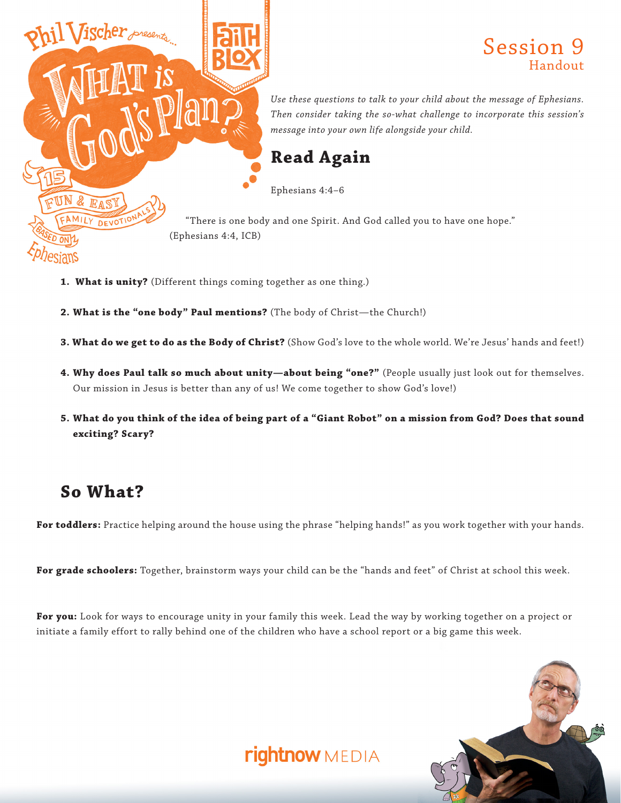

#### Session 9 Handout

*Use these questions to talk to your child about the message of Ephesians. Then consider taking the so-what challenge to incorporate this session's message into your own life alongside your child.*

"There is one body and one Spirit. And God called you to have one hope."

- **1. What is unity?** (Different things coming together as one thing.)
- **2. What is the "one body" Paul mentions?** (The body of Christ—the Church!)
- **3. What do we get to do as the Body of Christ?** (Show God's love to the whole world. We're Jesus' hands and feet!)
- **4. Why does Paul talk so much about unity—about being "one?"** (People usually just look out for themselves. Our mission in Jesus is better than any of us! We come together to show God's love!)
- **5. What do you think of the idea of being part of a "Giant Robot" on a mission from God? Does that sound exciting? Scary?**

### **So What?**

**For toddlers:** Practice helping around the house using the phrase "helping hands!" as you work together with your hands.

**For grade schoolers:** Together, brainstorm ways your child can be the "hands and feet" of Christ at school this week.

**For you:** Look for ways to encourage unity in your family this week. Lead the way by working together on a project or initiate a family effort to rally behind one of the children who have a school report or a big game this week.

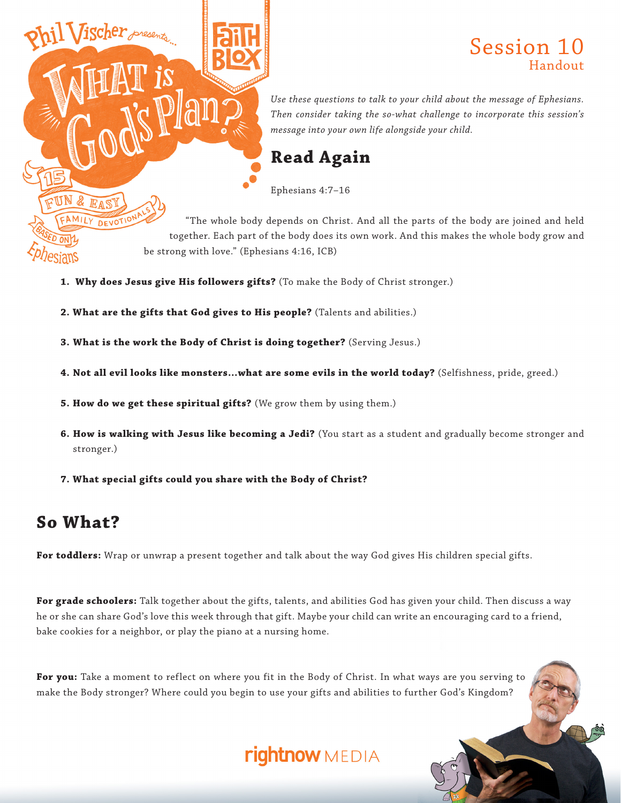### Session 10 Handout

*Use these questions to talk to your child about the message of Ephesians. Then consider taking the so-what challenge to incorporate this session's message into your own life alongside your child.*

#### **Read Again**

Ephesians 4:7–16

"The whole body depends on Christ. And all the parts of the body are joined and held together. Each part of the body does its own work. And this makes the whole body grow and be strong with love." (Ephesians 4:16, ICB)

- **1. Why does Jesus give His followers gifts?** (To make the Body of Christ stronger.)
- **2. What are the gifts that God gives to His people?** (Talents and abilities.)
- **3. What is the work the Body of Christ is doing together?** (Serving Jesus.)
- **4. Not all evil looks like monsters…what are some evils in the world today?** (Selfishness, pride, greed.)
- **5. How do we get these spiritual gifts?** (We grow them by using them.)
- **6. How is walking with Jesus like becoming a Jedi?** (You start as a student and gradually become stronger and stronger.)
- **7. What special gifts could you share with the Body of Christ?**

### **So What?**

**For toddlers:** Wrap or unwrap a present together and talk about the way God gives His children special gifts.

**For grade schoolers:** Talk together about the gifts, talents, and abilities God has given your child. Then discuss a way he or she can share God's love this week through that gift. Maybe your child can write an encouraging card to a friend, bake cookies for a neighbor, or play the piano at a nursing home.

**For you:** Take a moment to reflect on where you fit in the Body of Christ. In what ways are you serving to make the Body stronger? Where could you begin to use your gifts and abilities to further God's Kingdom?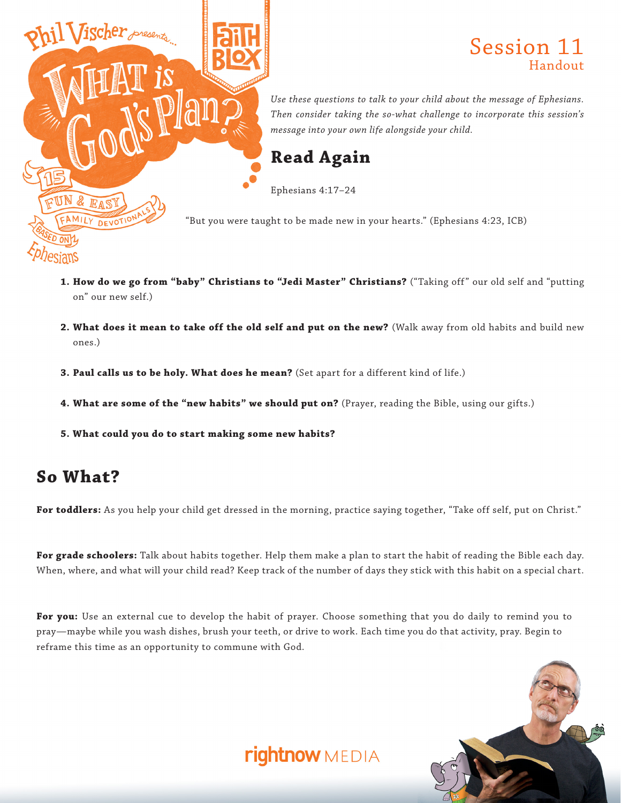

- 1. How do we go from "baby" Christians to "Jedi Master" Christians? ("Taking off" our old self and "putting on" our new self.)
- **2. What does it mean to take off the old self and put on the new?** (Walk away from old habits and build new ones.)
- **3. Paul calls us to be holy. What does he mean?** (Set apart for a different kind of life.)
- 4. What are some of the "new habits" we should put on? (Prayer, reading the Bible, using our gifts.)
- **5. What could you do to start making some new habits?**

#### **So What?**

**For toddlers:** As you help your child get dressed in the morning, practice saying together, "Take off self, put on Christ."

**For grade schoolers:** Talk about habits together. Help them make a plan to start the habit of reading the Bible each day. When, where, and what will your child read? Keep track of the number of days they stick with this habit on a special chart.

**For you:** Use an external cue to develop the habit of prayer. Choose something that you do daily to remind you to pray—maybe while you wash dishes, brush your teeth, or drive to work. Each time you do that activity, pray. Begin to reframe this time as an opportunity to commune with God.

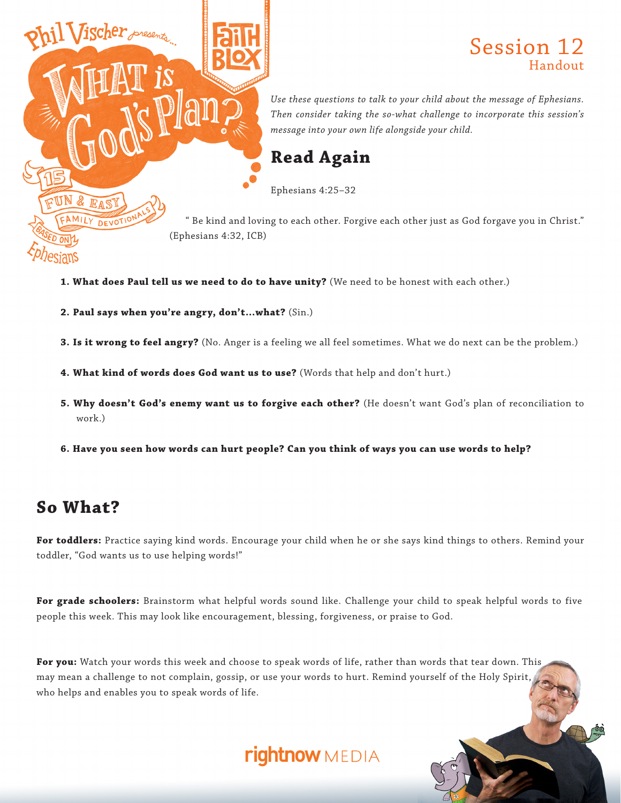

#### Session 12 Handout

*Use these questions to talk to your child about the message of Ephesians. Then consider taking the so-what challenge to incorporate this session's message into your own life alongside your child.*

#### **Read Again**

Ephesians 4:25–32

" Be kind and loving to each other. Forgive each other just as God forgave you in Christ."

- **1. What does Paul tell us we need to do to have unity?** (We need to be honest with each other.)
- **2. Paul says when you're angry, don't…what?** (Sin.)
- **3. Is it wrong to feel angry?** (No. Anger is a feeling we all feel sometimes. What we do next can be the problem.)
- **4. What kind of words does God want us to use?** (Words that help and don't hurt.)
- **5. Why doesn't God's enemy want us to forgive each other?** (He doesn't want God's plan of reconciliation to work.)
- **6. Have you seen how words can hurt people? Can you think of ways you can use words to help?**

## **So What?**

**For toddlers:** Practice saying kind words. Encourage your child when he or she says kind things to others. Remind your toddler, "God wants us to use helping words!"

**For grade schoolers:** Brainstorm what helpful words sound like. Challenge your child to speak helpful words to five people this week. This may look like encouragement, blessing, forgiveness, or praise to God.

**For you:** Watch your words this week and choose to speak words of life, rather than words that tear down. This may mean a challenge to not complain, gossip, or use your words to hurt. Remind yourself of the Holy Spirit, who helps and enables you to speak words of life.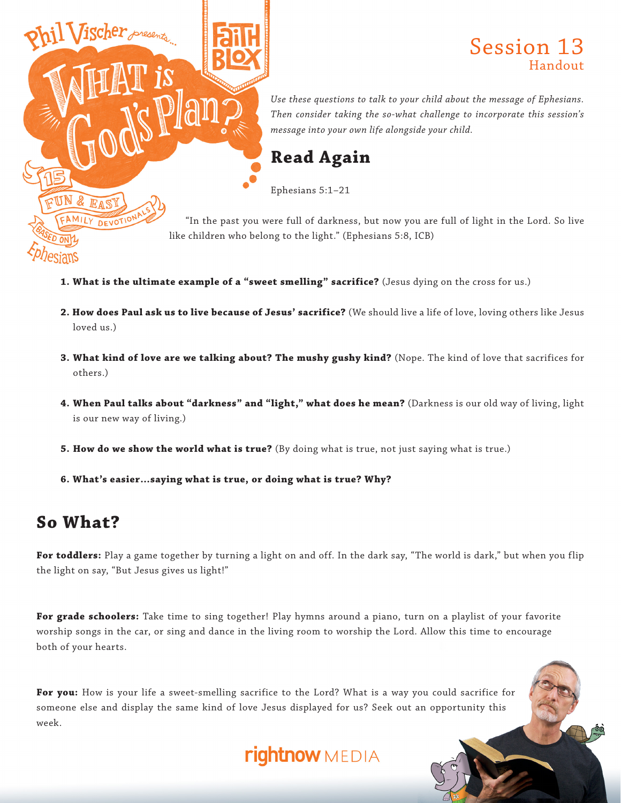

### Session 13 Handout

*Use these questions to talk to your child about the message of Ephesians. Then consider taking the so-what challenge to incorporate this session's message into your own life alongside your child.*

## **Read Again**

Ephesians 5:1–21

"In the past you were full of darkness, but now you are full of light in the Lord. So live like children who belong to the light." (Ephesians 5:8, ICB)

- **1. What is the ultimate example of a "sweet smelling" sacrifice?** (Jesus dying on the cross for us.)
- **2. How does Paul ask us to live because of Jesus' sacrifice?** (We should live a life of love, loving others like Jesus loved us.)
- **3. What kind of love are we talking about? The mushy gushy kind?** (Nope. The kind of love that sacrifices for others.)
- **4. When Paul talks about "darkness" and "light," what does he mean?** (Darkness is our old way of living, light is our new way of living.)
- **5. How do we show the world what is true?** (By doing what is true, not just saying what is true.)
- **6. What's easier…saying what is true, or doing what is true? Why?**

## **So What?**

For toddlers: Play a game together by turning a light on and off. In the dark say, "The world is dark," but when you flip the light on say, "But Jesus gives us light!"

**For grade schoolers:** Take time to sing together! Play hymns around a piano, turn on a playlist of your favorite worship songs in the car, or sing and dance in the living room to worship the Lord. Allow this time to encourage both of your hearts.

**For you:** How is your life a sweet-smelling sacrifice to the Lord? What is a way you could sacrifice for someone else and display the same kind of love Jesus displayed for us? Seek out an opportunity this week.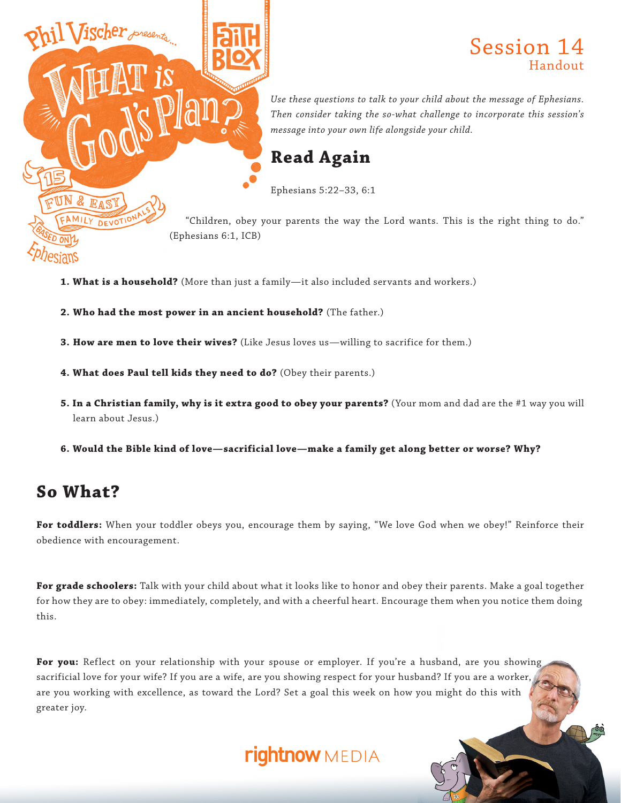

#### Session 14 Handout

*Use these questions to talk to your child about the message of Ephesians. Then consider taking the so-what challenge to incorporate this session's message into your own life alongside your child.*

### **Read Again**

Ephesians 5:22–33, 6:1

"Children, obey your parents the way the Lord wants. This is the right thing to do."

- **1. What is a household?** (More than just a family—it also included servants and workers.)
- **2. Who had the most power in an ancient household?** (The father.)

**3. How are men to love their wives?** (Like Jesus loves us—willing to sacrifice for them.)

- **4. What does Paul tell kids they need to do?** (Obey their parents.)
- **5. In a Christian family, why is it extra good to obey your parents?** (Your mom and dad are the #1 way you will learn about Jesus.)
- **6. Would the Bible kind of love—sacrificial love—make a family get along better or worse? Why?**

### **So What?**

**For toddlers:** When your toddler obeys you, encourage them by saying, "We love God when we obey!" Reinforce their obedience with encouragement.

**For grade schoolers:** Talk with your child about what it looks like to honor and obey their parents. Make a goal together for how they are to obey: immediately, completely, and with a cheerful heart. Encourage them when you notice them doing this.

For you: Reflect on your relationship with your spouse or employer. If you're a husband, are you showing sacrificial love for your wife? If you are a wife, are you showing respect for your husband? If you are a worker, are you working with excellence, as toward the Lord? Set a goal this week on how you might do this with greater joy.